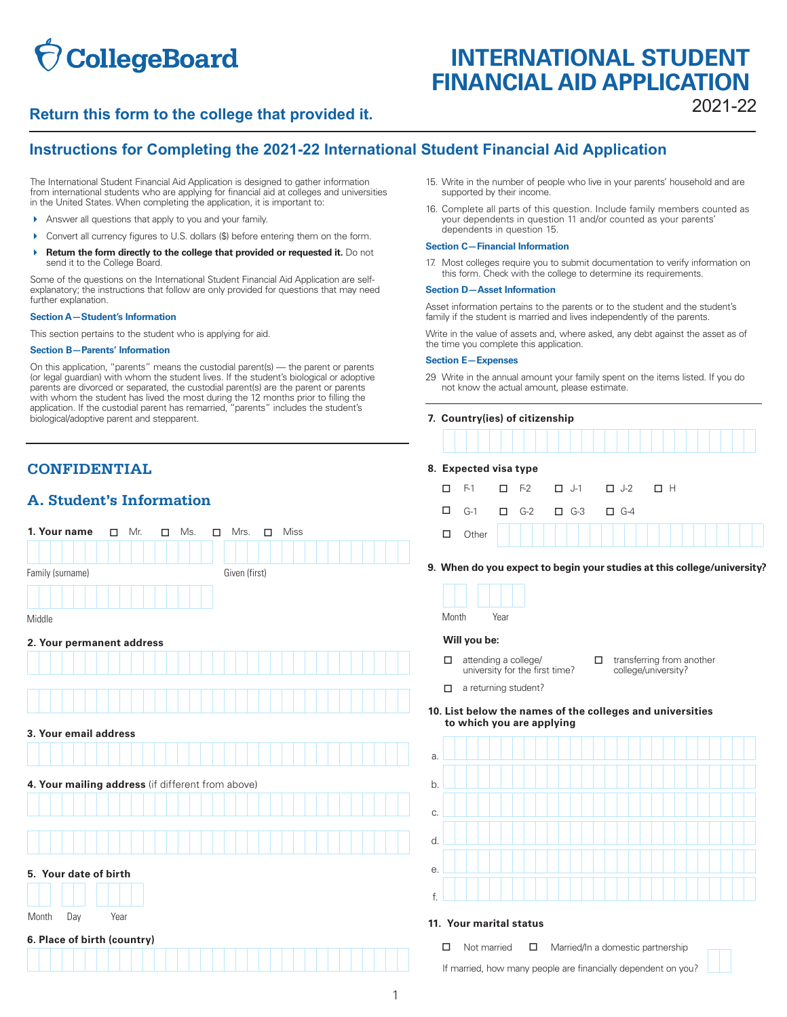# **CollegeBoard**

## **INTERNATIONAL STUDENT FINANCIAL AID APPLICATION**

## 2021-22 **Return this form to the college that provided it.**

## **Instructions for Completing the 2021-22 International Student Financial Aid Application**

The International Student Financial Aid Application is designed to gather information from international students who are applying for financial aid at colleges and universities in the United States. When completing the application, it is important to:

- Answer all questions that apply to you and your family.
- Convert all currency figures to U.S. dollars (\$) before entering them on the form.
- **A** Return the form directly to the college that provided or requested it. Do not send it to the College Board.

 further explanation. Some of the questions on the International Student Financial Aid Application are selfexplanatory; the instructions that follow are only provided for questions that may need

#### **Section A—Student's Information**

This section pertains to the student who is applying for aid.

#### **Section B—Parents' Information**

On this application, "parents" means the custodial parent(s) — the parent or parents (or legal guardian) with whom the student lives. If the student's biological or adoptive parents are divorced or separated, the custodial parent(s) are the parent or parents with whom the student has lived the most during the 12 months prior to filling the application. If the custodial parent has remarried, "parents" includes the student's biological/adoptive parent and stepparent.

## **CONFIDENTIAL 8. Expected visa type**

### **A. Student's Information**

| 1. Your name<br>Mr.<br>$\Box$<br>□                | Miss<br>Ms.<br>Mrs.<br>$\Box$<br>$\Box$ | Other<br>$\Box$                                                                                                |
|---------------------------------------------------|-----------------------------------------|----------------------------------------------------------------------------------------------------------------|
| Family (surname)                                  | Given (first)                           | 9. When do you expect to begin your studies at this col                                                        |
|                                                   |                                         |                                                                                                                |
| Middle                                            |                                         | Month<br>Year                                                                                                  |
| 2. Your permanent address                         |                                         | Will you be:                                                                                                   |
|                                                   |                                         | attending a college/<br>transferring from a<br>□<br>□<br>university for the first time?<br>college/university? |
|                                                   |                                         | a returning student?<br>□                                                                                      |
|                                                   |                                         | 10. List below the names of the colleges and univers<br>to which you are applying                              |
| 3. Your email address                             |                                         |                                                                                                                |
|                                                   |                                         | a.                                                                                                             |
| 4. Your mailing address (if different from above) |                                         | b.                                                                                                             |
|                                                   |                                         | C.                                                                                                             |
|                                                   |                                         | d.                                                                                                             |
|                                                   |                                         |                                                                                                                |
| 5. Your date of birth                             |                                         | е.                                                                                                             |
|                                                   |                                         | f.                                                                                                             |
| Month<br>Day<br>Year                              |                                         | 11. Your marital status                                                                                        |
| 6. Place of birth (country)                       |                                         | Married/In a domestic partnership<br>□<br>Not married                                                          |
|                                                   |                                         | □<br>If married, how many people are financially dependent on yo                                               |

- 15. Write in the number of people who live in your parents' household and are supported by their income.
- 16. Complete all parts of this question. Include family members counted as your dependents in question 11 and/or counted as your parents' dependents in question 15.

#### **Section C—Financial Information**

 17. Most colleges require you to submit documentation to verify information on this form. Check with the college to determine its requirements.

#### **Section D—Asset Information**

Asset information pertains to the parents or to the student and the student's family if the student is married and lives independently of the parents.

Write in the value of assets and, where asked, any debt against the asset as of the time you complete this application.

#### **Section E—Expenses**

 29 Write in the annual amount your family spent on the items listed. If you do not know the actual amount, please estimate.

|   | 7. Country(ies) of citizenship |    |               |               |            |    |  |  |
|---|--------------------------------|----|---------------|---------------|------------|----|--|--|
|   |                                |    |               |               |            |    |  |  |
|   | 8. Expected visa type          |    |               |               |            |    |  |  |
|   | $F-1$                          |    | $\square$ F-2 | $\Box$ J-1    | $\Box$ J-2 | пн |  |  |
| □ | $G-1$                          | П. | $G-2$         | $\square$ G-3 | $G-4$<br>п |    |  |  |
| □ | Other                          |    |               |               |            |    |  |  |

**9. When do you expect to begin your studies at this college/university?** 

- $\Box$  attending a college/  $\Box$  transferring from another university for the first time?  $\Box$  transferring from another university for the first time?
- $\Box$  a returning student?

## **10. List below the names of the colleges and universities**



#### 11. Your marital status

| $\Box$ | Not married | $\Box$ | Married/In a domestic partnership                             |
|--------|-------------|--------|---------------------------------------------------------------|
|        |             |        | If married, how many people are financially dependent on you? |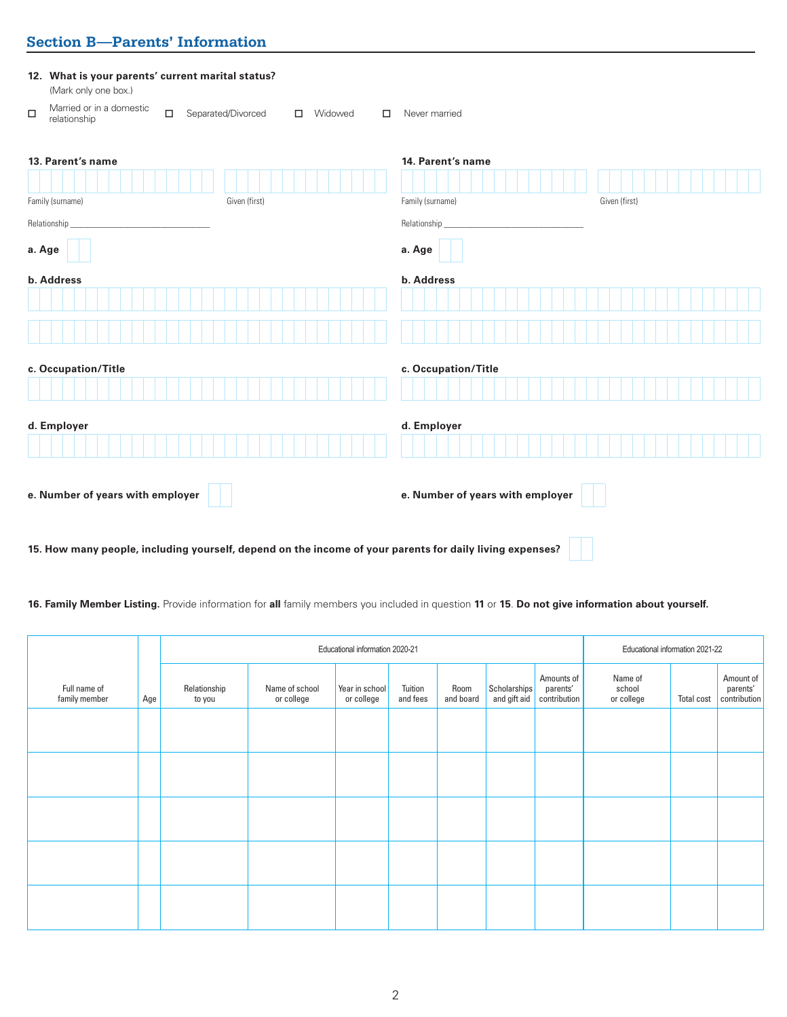## **Section B—Parents' Information**

| 12. What is your parents' current marital status?<br>(Mark only one box.)                                    |                                                        |
|--------------------------------------------------------------------------------------------------------------|--------------------------------------------------------|
| Married or in a domestic<br>$\Box$<br>Separated/Divorced<br>$\Box$<br>Widowed<br>$\Box$<br>□<br>relationship | Never married                                          |
| 13. Parent's name<br>Family (surname)<br>Given (first)                                                       | 14. Parent's name<br>Family (surname)<br>Given (first) |
| Relationship                                                                                                 | Relationship_                                          |
| a. Age                                                                                                       | a. Age                                                 |
| b. Address                                                                                                   | b. Address                                             |
|                                                                                                              |                                                        |
|                                                                                                              |                                                        |
| c. Occupation/Title                                                                                          | c. Occupation/Title                                    |
|                                                                                                              |                                                        |
| d. Employer                                                                                                  | d. Employer                                            |
|                                                                                                              |                                                        |
| e. Number of years with employer                                                                             | e. Number of years with employer                       |
| 15. How many people, including yourself, depend on the income of your parents for daily living expenses?     |                                                        |

**16. Family Member Listing.** Provide information for **all** family members you included in question **11** or **15**. **Do not give information about yourself.**

 $\perp$ 

|                               |     |                        | Educational information 2020-21 |                              |                     |                   |                              |                                        | Educational information 2021-22 |            |                                       |
|-------------------------------|-----|------------------------|---------------------------------|------------------------------|---------------------|-------------------|------------------------------|----------------------------------------|---------------------------------|------------|---------------------------------------|
| Full name of<br>family member | Age | Relationship<br>to you | Name of school<br>or college    | Year in school<br>or college | Tuition<br>and fees | Room<br>and board | Scholarships<br>and gift aid | Amounts of<br>parents'<br>contribution | Name of<br>school<br>or college | Total cost | Amount of<br>parents'<br>contribution |
|                               |     |                        |                                 |                              |                     |                   |                              |                                        |                                 |            |                                       |
|                               |     |                        |                                 |                              |                     |                   |                              |                                        |                                 |            |                                       |
|                               |     |                        |                                 |                              |                     |                   |                              |                                        |                                 |            |                                       |
|                               |     |                        |                                 |                              |                     |                   |                              |                                        |                                 |            |                                       |
|                               |     |                        |                                 |                              |                     |                   |                              |                                        |                                 |            |                                       |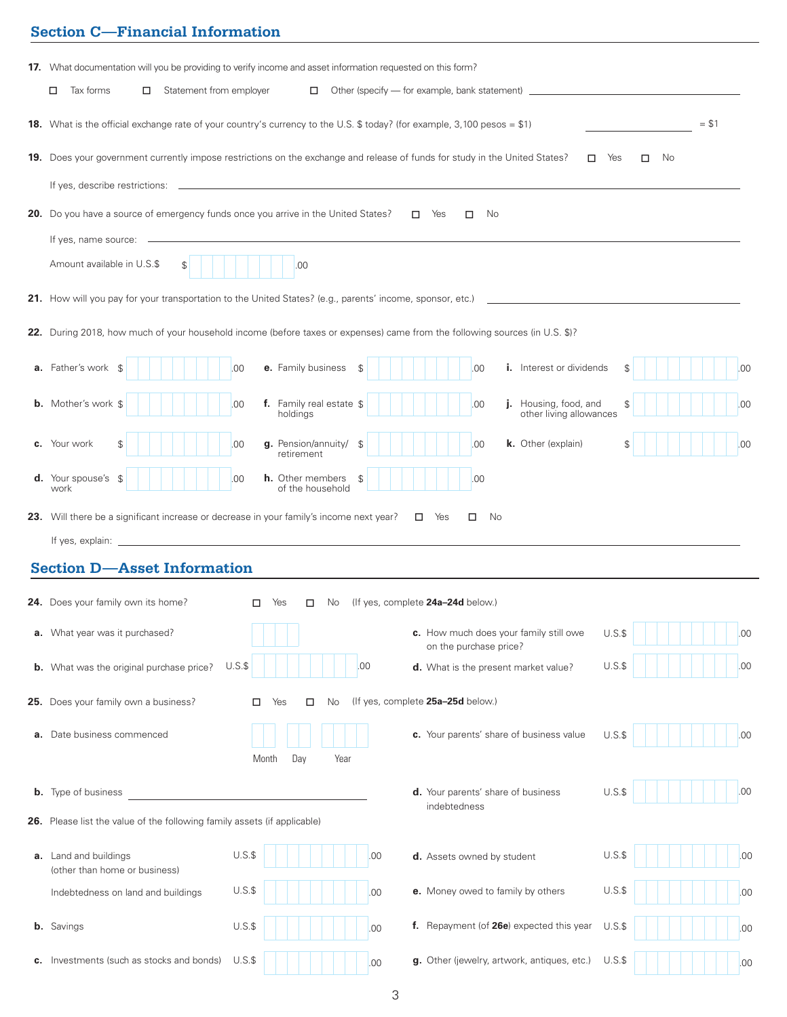## **Section C—Financial Information**

|                                                                                                           | 17. What documentation will you be providing to verify income and asset information requested on this form?                 |                                                                                  |                |  |  |  |  |
|-----------------------------------------------------------------------------------------------------------|-----------------------------------------------------------------------------------------------------------------------------|----------------------------------------------------------------------------------|----------------|--|--|--|--|
| Statement from employer<br>Tax forms<br>□                                                                 |                                                                                                                             | □ Other (specify — for example, bank statement) ________________________________ |                |  |  |  |  |
|                                                                                                           | 18. What is the official exchange rate of your country's currency to the U.S. \$ today? (for example, 3,100 pesos = \$1)    |                                                                                  | $= $1$         |  |  |  |  |
|                                                                                                           | 19. Does your government currently impose restrictions on the exchange and release of funds for study in the United States? | □                                                                                | Yes<br>□<br>No |  |  |  |  |
|                                                                                                           |                                                                                                                             |                                                                                  |                |  |  |  |  |
| Do you have a source of emergency funds once you arrive in the United States?                             |                                                                                                                             | $\Pi$ Yes<br>No<br>□                                                             |                |  |  |  |  |
| If yes, name source:                                                                                      |                                                                                                                             |                                                                                  |                |  |  |  |  |
| Amount available in U.S.\$<br>\$                                                                          | .00                                                                                                                         |                                                                                  |                |  |  |  |  |
|                                                                                                           | How will you pay for your transportation to the United States? (e.g., parents' income, sponsor, etc.)                       |                                                                                  |                |  |  |  |  |
|                                                                                                           |                                                                                                                             |                                                                                  |                |  |  |  |  |
| During                                                                                                    | , how much of your household income (before taxes or expenses) came from the following sources (in U.S. \$)?                |                                                                                  |                |  |  |  |  |
| <b>a.</b> Father's work                                                                                   | e. Family business<br>.00<br>S                                                                                              | <b>i.</b> Interest or dividends<br>.00                                           | £.<br>.00      |  |  |  |  |
| <b>b.</b> Mother's work \$                                                                                | f. Family real estate \$<br>.00<br>holdings                                                                                 | Housing, food, and<br>.00<br>other living allowances                             | .00            |  |  |  |  |
| c. Your work<br>\$                                                                                        | g. Pension/annuity/<br>.00<br>$\mathcal{L}$<br>retirement                                                                   | .00<br>k. Other (explain)                                                        | \$<br>.00      |  |  |  |  |
| <b>d.</b> Your spouse's<br><b>h.</b> Other members<br>.00<br>.00<br>-\$<br>\$<br>of the household<br>work |                                                                                                                             |                                                                                  |                |  |  |  |  |
| 23. Will there be a significant increase or decrease in your family's income next year?                   |                                                                                                                             | $\Box$ Yes<br>No<br>□                                                            |                |  |  |  |  |
|                                                                                                           | If yes, explain: $\qquad \qquad$                                                                                            |                                                                                  |                |  |  |  |  |
| <b>Section D-Asset Information</b>                                                                        |                                                                                                                             |                                                                                  |                |  |  |  |  |
| 24. Does your family own its home?                                                                        | п<br>Yes<br>п<br>No.                                                                                                        | (If yes, complete 24a-24d below.)                                                |                |  |  |  |  |
| a. What year was it purchased?                                                                            |                                                                                                                             | c. How much does your family still owe<br>on the purchase price?                 | $U.S.\$<br>.00 |  |  |  |  |
| <b>b.</b> What was the original purchase price?                                                           | $U.S.\$<br>00                                                                                                               | d. What is the present market value?                                             | .00<br>$U.S.\$ |  |  |  |  |
| 25. Does your family own a business?                                                                      | No<br>п<br>Yes<br>◻                                                                                                         | (If yes, complete 25a-25d below.)                                                |                |  |  |  |  |
|                                                                                                           |                                                                                                                             | c. Your parents' share of business value                                         |                |  |  |  |  |
| <b>a.</b> Date business commenced                                                                         | Day<br>Year<br>Month                                                                                                        |                                                                                  | U.S.S<br>.00   |  |  |  |  |
|                                                                                                           |                                                                                                                             |                                                                                  |                |  |  |  |  |
| <b>b.</b> Type of business                                                                                |                                                                                                                             | d. Your parents' share of business<br>indebtedness                               | U.S.S<br>.00   |  |  |  |  |
| 26. Please list the value of the following family assets (if applicable)                                  |                                                                                                                             |                                                                                  |                |  |  |  |  |
| a. Land and buildings<br>(other than home or business)                                                    | $U.S.\$<br>.00                                                                                                              | d. Assets owned by student                                                       | $U.S.\$<br>.00 |  |  |  |  |
| Indebtedness on land and buildings                                                                        | $U.S.\$<br>.00                                                                                                              | e. Money owed to family by others                                                | $U.S.\$<br>.00 |  |  |  |  |
| <b>b.</b> Savings                                                                                         | $U.S.\$<br>.00                                                                                                              | f. Repayment (of 26e) expected this year                                         | $U.S.\$<br>.00 |  |  |  |  |
| c. Investments (such as stocks and bonds)                                                                 | $U.S.\$<br>.00                                                                                                              | g. Other (jewelry, artwork, antiques, etc.)                                      | $U.S.\$<br>.00 |  |  |  |  |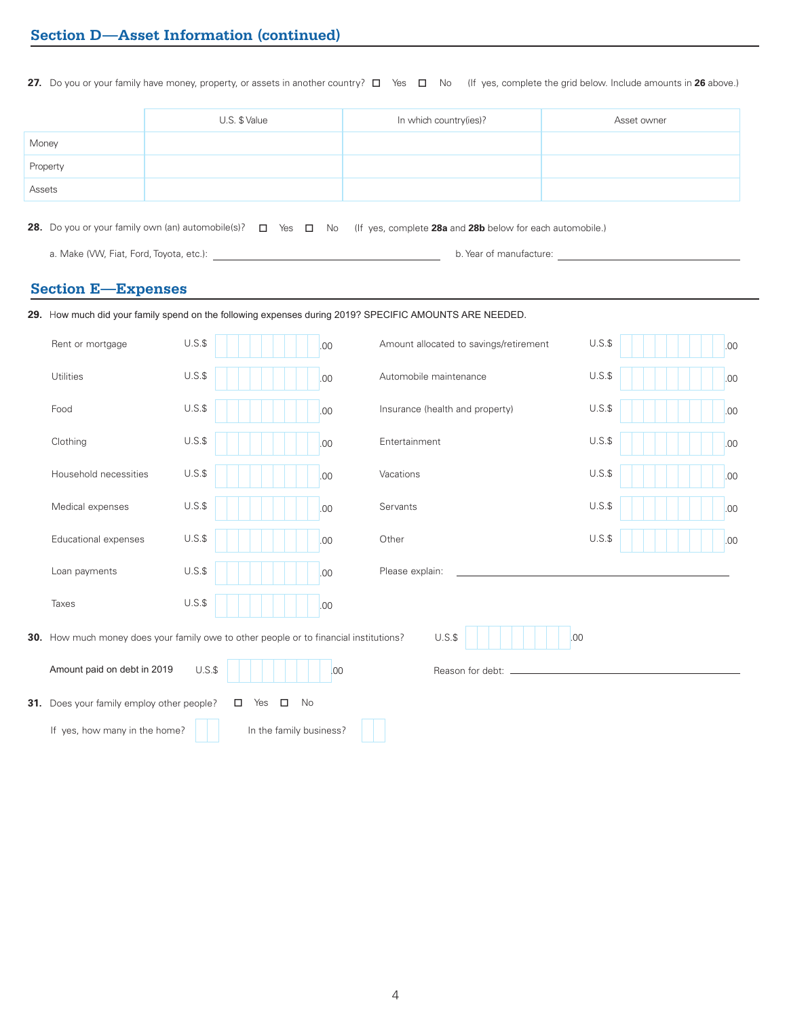**27.** Do you or your family have money, property, or assets in another country? □ Yes □ No (If yes, complete the grid below. Include amounts in **26** above.)

|          | U.S. \$ Value | In which country(ies)? | Asset owner |
|----------|---------------|------------------------|-------------|
| Money    |               |                        |             |
| Property |               |                        |             |
| Assets   |               |                        |             |

**28.** Do you or your family own (an) automobile(s)?  $\Box$  Yes  $\Box$  No (If yes, complete **28a** and **28b** below for each automobile.)

a. Make (VW, Fiat, Ford, Toyota, etc.): **b.** Year of manufacture: **b. Year of manufacture**: **b.** Year of manufacture:

### **Section E—Expenses**

|                                                                                              |         |                         |     | 29. How much did your family spend on the following expenses during 2019? SPECIFIC AMOUNTS ARE NEEDED. |         |  |     |
|----------------------------------------------------------------------------------------------|---------|-------------------------|-----|--------------------------------------------------------------------------------------------------------|---------|--|-----|
| Rent or mortgage                                                                             | $U.S.\$ |                         | .00 | Amount allocated to savings/retirement                                                                 | $U.S.\$ |  | .00 |
| Utilities                                                                                    | $U.S.\$ |                         | .00 | Automobile maintenance                                                                                 | $U.S.\$ |  | .00 |
| Food                                                                                         | $U.S.\$ |                         | .00 | Insurance (health and property)                                                                        | $U.S.\$ |  | .00 |
| Clothing                                                                                     | $U.S.\$ |                         | .00 | Entertainment                                                                                          | $U.S.\$ |  | .00 |
| Household necessities                                                                        | $U.S.\$ |                         | .00 | Vacations                                                                                              | $U.S.\$ |  | .00 |
| Medical expenses                                                                             | $U.S.\$ |                         | .00 | Servants                                                                                               | $U.S.\$ |  | .00 |
| Educational expenses                                                                         | $U.S.\$ |                         | .00 | Other                                                                                                  | $U.S.\$ |  | .00 |
| Loan payments                                                                                | $U.S.\$ |                         | .00 | Please explain:                                                                                        |         |  |     |
| Taxes                                                                                        | $U.S.\$ |                         | .00 |                                                                                                        |         |  |     |
| <b>30.</b> How much money does your family owe to other people or to financial institutions? |         |                         |     | $U.S.\$<br>.00                                                                                         |         |  |     |
| Amount paid on debt in 2019                                                                  | $U.S.\$ |                         | .00 | Reason for debt:                                                                                       |         |  |     |
| 31. Does your family employ other people?                                                    |         | Yes<br>$\Box$<br>No     |     |                                                                                                        |         |  |     |
| If yes, how many in the home?                                                                |         | In the family business? |     |                                                                                                        |         |  |     |